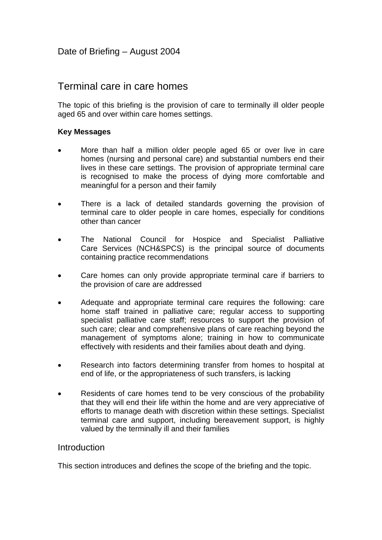# Terminal care in care homes

The topic of this briefing is the provision of care to terminally ill older people aged 65 and over within care homes settings.

## **Key Messages**

- More than half a million older people aged 65 or over live in care homes (nursing and personal care) and substantial numbers end their lives in these care settings. The provision of appropriate terminal care is recognised to make the process of dying more comfortable and meaningful for a person and their family
- There is a lack of detailed standards governing the provision of terminal care to older people in care homes, especially for conditions other than cancer
- The National Council for Hospice and Specialist Palliative Care Services (NCH&SPCS) is the principal source of documents containing practice recommendations
- Care homes can only provide appropriate terminal care if barriers to the provision of care are addressed
- Adequate and appropriate terminal care requires the following: care home staff trained in palliative care; regular access to supporting specialist palliative care staff; resources to support the provision of such care; clear and comprehensive plans of care reaching beyond the management of symptoms alone; training in how to communicate effectively with residents and their families about death and dying.
- Research into factors determining transfer from homes to hospital at end of life, or the appropriateness of such transfers, is lacking
- Residents of care homes tend to be very conscious of the probability that they will end their life within the home and are very appreciative of efforts to manage death with discretion within these settings. Specialist terminal care and support, including bereavement support, is highly valued by the terminally ill and their families

## **Introduction**

This section introduces and defines the scope of the briefing and the topic.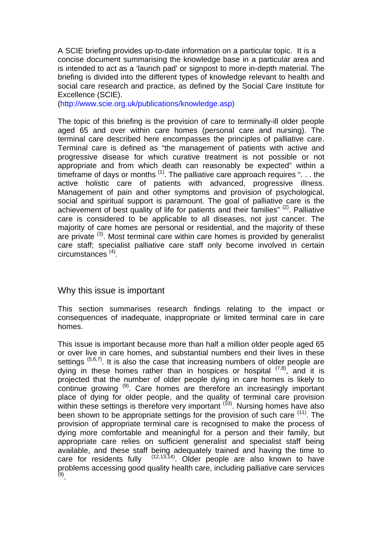A SCIE briefing provides up-to-date information on a particular topic. It is a concise document summarising the knowledge base in a particular area and is intended to act as a 'launch pad' or signpost to more in-depth material. The briefing is divided into the different types of knowledge relevant to health and social care research and practice, as defined by the Social Care Institute for Excellence (SCIE).

(http://www.scie.org.uk/publications/knowledge.asp)

The topic of this briefing is the provision of care to terminally-ill older people aged 65 and over within care homes (personal care and nursing). The terminal care described here encompasses the principles of palliative care. Terminal care is defined as "the management of patients with active and progressive disease for which curative treatment is not possible or not appropriate and from which death can reasonably be expected" within a timeframe of days or months<sup>(1)</sup>. The palliative care approach requires " $\ldots$  the active holistic care of patients with advanced, progressive illness. Management of pain and other symptoms and provision of psychological, social and spiritual support is paramount. The goal of palliative care is the achievement of best quality of life for patients and their families" (2). Palliative care is considered to be applicable to all diseases, not just cancer. The majority of care homes are personal or residential, and the majority of these are private  $(3)$ . Most terminal care within care homes is provided by generalist care staff; specialist palliative care staff only become involved in certain circumstances (4).

## Why this issue is important

This section summarises research findings relating to the impact or consequences of inadequate, inappropriate or limited terminal care in care homes.

This issue is important because more than half a million older people aged 65 or over live in care homes, and substantial numbers end their lives in these settings  $(5,6,7)$ . It is also the case that increasing numbers of older people are dying in these homes rather than in hospices or hospital  $(7,8)$ , and it is projected that the number of older people dying in care homes is likely to continue growing (9). Care homes are therefore an increasingly important place of dying for older people, and the quality of terminal care provision within these settings is therefore very important  $(10)$ . Nursing homes have also been shown to be appropriate settings for the provision of such care  $(11)$ . The provision of appropriate terminal care is recognised to make the process of dying more comfortable and meaningful for a person and their family, but appropriate care relies on sufficient generalist and specialist staff being available, and these staff being adequately trained and having the time to care for residents fully  $(12,13,14)$ . Older people are also known to have problems accessing good quality health care, including palliative care services (9).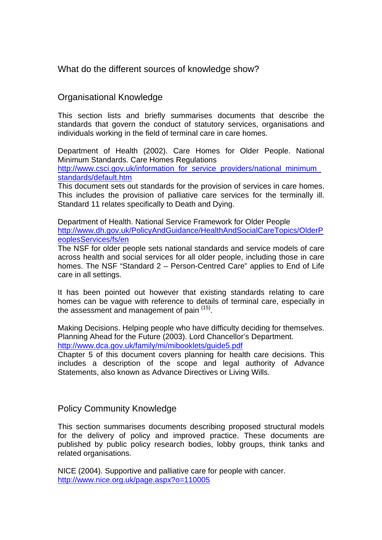What do the different sources of knowledge show?

## Organisational Knowledge

This section lists and briefly summarises documents that describe the standards that govern the conduct of statutory services, organisations and individuals working in the field of terminal care in care homes.

Department of Health (2002). Care Homes for Older People. National Minimum Standards. Care Homes Regulations

http://www.csci.gov.uk/information\_for\_service\_providers/national\_minimum [standards/default.htm](http://www.csci.gov.uk/information_for_service_providers/national_minimum_standards/default.htm)

This document sets out standards for the provision of services in care homes. This includes the provision of palliative care services for the terminally ill. Standard 11 relates specifically to Death and Dying.

Department of Health. National Service Framework for Older People [http://www.dh.gov.uk/PolicyAndGuidance/HealthAndSocialCareTopics/OlderP](http://www.dh.gov.uk/PolicyAndGuidance/HealthAndSocialCareTopics/OlderPeoplesServices/fs/en) [eoplesServices/fs/en](http://www.dh.gov.uk/PolicyAndGuidance/HealthAndSocialCareTopics/OlderPeoplesServices/fs/en)

The NSF for older people sets national standards and service models of care across health and social services for all older people, including those in care homes. The NSF "Standard 2 – Person-Centred Care" applies to End of Life care in all settings.

It has been pointed out however that existing standards relating to care homes can be vague with reference to details of terminal care, especially in the assessment and management of pain (15).

Making Decisions. Helping people who have difficulty deciding for themselves. Planning Ahead for the Future (2003). Lord Chancellor's Department. <http://www.dca.gov.uk/family/mi/mibooklets/guide5.pdf>

Chapter 5 of this document covers planning for health care decisions. This includes a description of the scope and legal authority of Advance Statements, also known as Advance Directives or Living Wills.

## Policy Community Knowledge

This section summarises documents describing proposed structural models for the delivery of policy and improved practice. These documents are published by public policy research bodies, lobby groups, think tanks and related organisations.

NICE (2004). Supportive and palliative care for people with cancer. <http://www.nice.org.uk/page.aspx?o=110005>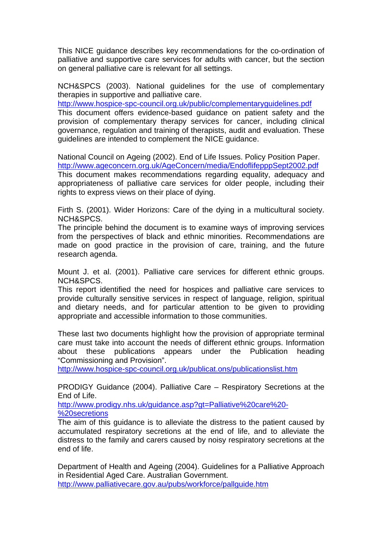This NICE guidance describes key recommendations for the co-ordination of palliative and supportive care services for adults with cancer, but the section on general palliative care is relevant for all settings.

NCH&SPCS (2003). National guidelines for the use of complementary therapies in supportive and palliative care.

<http://www.hospice-spc-council.org.uk/public/complementaryguidelines.pdf> This document offers evidence-based guidance on patient safety and the provision of complementary therapy services for cancer, including clinical governance, regulation and training of therapists, audit and evaluation. These guidelines are intended to complement the NICE guidance.

National Council on Ageing (2002). End of Life Issues. Policy Position Paper. <http://www.ageconcern.org.uk/AgeConcern/media/EndoflifepppSept2002.pdf> This document makes recommendations regarding equality, adequacy and appropriateness of palliative care services for older people, including their rights to express views on their place of dying.

Firth S. (2001). Wider Horizons: Care of the dying in a multicultural society. NCH&SPCS.

The principle behind the document is to examine ways of improving services from the perspectives of black and ethnic minorities. Recommendations are made on good practice in the provision of care, training, and the future research agenda.

Mount J. et al. (2001). Palliative care services for different ethnic groups. NCH&SPCS.

This report identified the need for hospices and palliative care services to provide culturally sensitive services in respect of language, religion, spiritual and dietary needs, and for particular attention to be given to providing appropriate and accessible information to those communities.

These last two documents highlight how the provision of appropriate terminal care must take into account the needs of different ethnic groups. Information about these publications appears under the Publication heading "Commissioning and Provision".

<http://www.hospice-spc-council.org.uk/publicat.ons/publicationslist.htm>

PRODIGY Guidance (2004). Palliative Care – Respiratory Secretions at the End of Life.

[http://www.prodigy.nhs.uk/guidance.asp?gt=Palliative%20care%20-](http://www.prodigy.nhs.uk/guidance.asp?gt=Palliative%20care%20-%20secretions) [%20secretions](http://www.prodigy.nhs.uk/guidance.asp?gt=Palliative%20care%20-%20secretions)

The aim of this guidance is to alleviate the distress to the patient caused by accumulated respiratory secretions at the end of life, and to alleviate the distress to the family and carers caused by noisy respiratory secretions at the end of life.

Department of Health and Ageing (2004). Guidelines for a Palliative Approach in Residential Aged Care. Australian Government. <http://www.palliativecare.gov.au/pubs/workforce/pallguide.htm>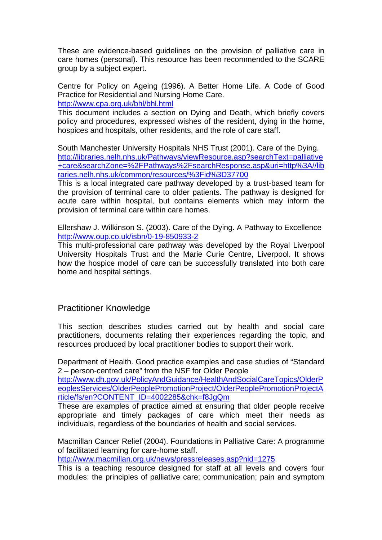These are evidence-based guidelines on the provision of palliative care in care homes (personal). This resource has been recommended to the SCARE group by a subject expert.

Centre for Policy on Ageing (1996). A Better Home Life. A Code of Good Practice for Residential and Nursing Home Care. <http://www.cpa.org.uk/bhl/bhl.html>

This document includes a section on Dying and Death, which briefly covers policy and procedures, expressed wishes of the resident, dying in the home, hospices and hospitals, other residents, and the role of care staff.

South Manchester University Hospitals NHS Trust (2001). Care of the Dying. [http://libraries.nelh.nhs.uk/Pathways/viewResource.asp?searchText=palliative](http://libraries.nelh.nhs.uk/Pathways/viewResource.asp?searchText=palliative+care&searchZone=%2FPathways%2FsearchResponse.asp&uri=http%3A//libraries.nelh.nhs.uk/common/resources/%3Fid%3D37700) [+care&searchZone=%2FPathways%2FsearchResponse.asp&uri=http%3A//lib](http://libraries.nelh.nhs.uk/Pathways/viewResource.asp?searchText=palliative+care&searchZone=%2FPathways%2FsearchResponse.asp&uri=http%3A//libraries.nelh.nhs.uk/common/resources/%3Fid%3D37700) [raries.nelh.nhs.uk/common/resources/%3Fid%3D37700](http://libraries.nelh.nhs.uk/Pathways/viewResource.asp?searchText=palliative+care&searchZone=%2FPathways%2FsearchResponse.asp&uri=http%3A//libraries.nelh.nhs.uk/common/resources/%3Fid%3D37700)

This is a local integrated care pathway developed by a trust-based team for the provision of terminal care to older patients. The pathway is designed for acute care within hospital, but contains elements which may inform the provision of terminal care within care homes.

Ellershaw J. Wilkinson S. (2003). Care of the Dying. A Pathway to Excellence <http://www.oup.co.uk/isbn/0-19-850933-2>

This multi-professional care pathway was developed by the Royal Liverpool University Hospitals Trust and the Marie Curie Centre, Liverpool. It shows how the hospice model of care can be successfully translated into both care home and hospital settings.

## Practitioner Knowledge

This section describes studies carried out by health and social care practitioners, documents relating their experiences regarding the topic, and resources produced by local practitioner bodies to support their work.

Department of Health. Good practice examples and case studies of "Standard 2 – person-centred care" from the NSF for Older People

[http://www.dh.gov.uk/PolicyAndGuidance/HealthAndSocialCareTopics/OlderP](http://www.dh.gov.uk/PolicyAndGuidance/HealthAndSocialCareTopics/OlderPeoplesServices/OlderPeoplePromotionProject/OlderPeoplePromotionProjectArticle/fs/en?CONTENT_ID=4002285&chk=f8JgQm) [eoplesServices/OlderPeoplePromotionProject/OlderPeoplePromotionProjectA](http://www.dh.gov.uk/PolicyAndGuidance/HealthAndSocialCareTopics/OlderPeoplesServices/OlderPeoplePromotionProject/OlderPeoplePromotionProjectArticle/fs/en?CONTENT_ID=4002285&chk=f8JgQm) [rticle/fs/en?CONTENT\\_ID=4002285&chk=f8JgQm](http://www.dh.gov.uk/PolicyAndGuidance/HealthAndSocialCareTopics/OlderPeoplesServices/OlderPeoplePromotionProject/OlderPeoplePromotionProjectArticle/fs/en?CONTENT_ID=4002285&chk=f8JgQm)

These are examples of practice aimed at ensuring that older people receive appropriate and timely packages of care which meet their needs as individuals, regardless of the boundaries of health and social services.

Macmillan Cancer Relief (2004). Foundations in Palliative Care: A programme of facilitated learning for care-home staff.

<http://www.macmillan.org.uk/news/pressreleases.asp?nid=1275>

This is a teaching resource designed for staff at all levels and covers four modules: the principles of palliative care; communication; pain and symptom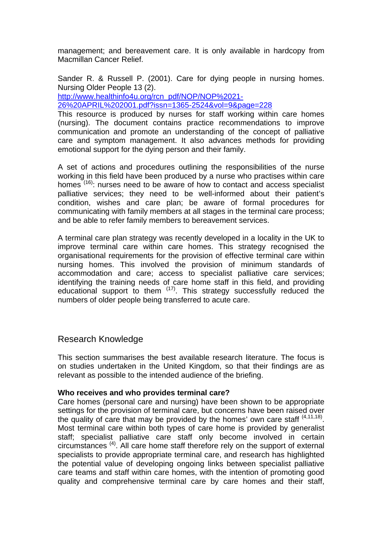management; and bereavement care. It is only available in hardcopy from Macmillan Cancer Relief.

Sander R. & Russell P. (2001). Care for dying people in nursing homes. Nursing Older People 13 (2). [http://www.healthinfo4u.org/rcn\\_pdf/NOP/NOP%2021-](http://www.healthinfo4u.org/rcn_pdf/NOP/NOP 21-26 APRIL 2001.pdf?issn=1365-2524&vol=9&page=228)

[26%20APRIL%202001.pdf?issn=1365-2524&vol=9&page=228](http://www.healthinfo4u.org/rcn_pdf/NOP/NOP 21-26 APRIL 2001.pdf?issn=1365-2524&vol=9&page=228)

This resource is produced by nurses for staff working within care homes (nursing). The document contains practice recommendations to improve communication and promote an understanding of the concept of palliative care and symptom management. It also advances methods for providing emotional support for the dying person and their family.

A set of actions and procedures outlining the responsibilities of the nurse working in this field have been produced by a nurse who practises within care homes  $(16)$ : nurses need to be aware of how to contact and access specialist palliative services; they need to be well-informed about their patient's condition, wishes and care plan; be aware of formal procedures for communicating with family members at all stages in the terminal care process; and be able to refer family members to bereavement services.

A terminal care plan strategy was recently developed in a locality in the UK to improve terminal care within care homes. This strategy recognised the organisational requirements for the provision of effective terminal care within nursing homes. This involved the provision of minimum standards of accommodation and care; access to specialist palliative care services; identifying the training needs of care home staff in this field, and providing educational support to them <sup>(17)</sup>. This strategy successfully reduced the numbers of older people being transferred to acute care.

## Research Knowledge

This section summarises the best available research literature. The focus is on studies undertaken in the United Kingdom, so that their findings are as relevant as possible to the intended audience of the briefing.

## **Who receives and who provides terminal care?**

Care homes (personal care and nursing) have been shown to be appropriate settings for the provision of terminal care, but concerns have been raised over the quality of care that may be provided by the homes' own care staff  $(4,11,18)$ . Most terminal care within both types of care home is provided by generalist staff; specialist palliative care staff only become involved in certain circumstances (4). All care home staff therefore rely on the support of external specialists to provide appropriate terminal care, and research has highlighted the potential value of developing ongoing links between specialist palliative care teams and staff within care homes, with the intention of promoting good quality and comprehensive terminal care by care homes and their staff,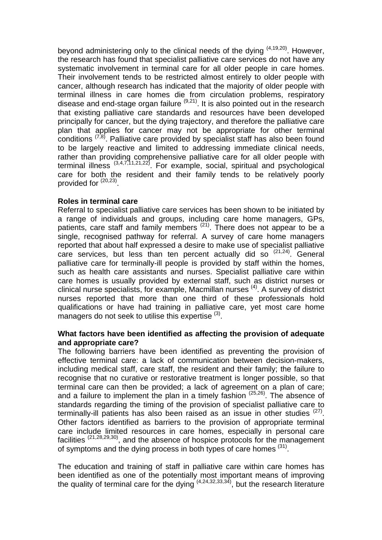beyond administering only to the clinical needs of the dying  $(4,19,20)$ . However, the research has found that specialist palliative care services do not have any systematic involvement in terminal care for all older people in care homes. Their involvement tends to be restricted almost entirely to older people with cancer, although research has indicated that the majority of older people with terminal illness in care homes die from circulation problems, respiratory disease and end-stage organ failure  $(9,21)$ . It is also pointed out in the research that existing palliative care standards and resources have been developed principally for cancer, but the dying trajectory, and therefore the palliative care plan that applies for cancer may not be appropriate for other terminal conditions  $(7,8)$ . Palliative care provided by specialist staff has also been found to be largely reactive and limited to addressing immediate clinical needs, rather than providing comprehensive palliative care for all older people with terminal illness (3,4,7,11,21,22). For example, social, spiritual and psychological care for both the resident and their family tends to be relatively poorly provided for  $(20,23)$ 

## **Roles in terminal care**

Referral to specialist palliative care services has been shown to be initiated by a range of individuals and groups, including care home managers, GPs, patients, care staff and family members  $(21)$ . There does not appear to be a single, recognised pathway for referral. A survey of care home managers reported that about half expressed a desire to make use of specialist palliative care services, but less than ten percent actually did so (21,24). General palliative care for terminally-ill people is provided by staff within the homes, such as health care assistants and nurses. Specialist palliative care within care homes is usually provided by external staff, such as district nurses or clinical nurse specialists, for example, Macmillan nurses (4). A survey of district nurses reported that more than one third of these professionals hold qualifications or have had training in palliative care, yet most care home managers do not seek to utilise this expertise <sup>(3)</sup>.

#### **What factors have been identified as affecting the provision of adequate and appropriate care?**

The following barriers have been identified as preventing the provision of effective terminal care: a lack of communication between decision-makers, including medical staff, care staff, the resident and their family; the failure to recognise that no curative or restorative treatment is longer possible, so that terminal care can then be provided; a lack of agreement on a plan of care; and a failure to implement the plan in a timely fashion  $(25,26)$ . The absence of standards regarding the timing of the provision of specialist palliative care to terminally-ill patients has also been raised as an issue in other studies  $(27)$ . Other factors identified as barriers to the provision of appropriate terminal care include limited resources in care homes, especially in personal care facilities  $(21,28,29,30)$ , and the absence of hospice protocols for the management of symptoms and the dying process in both types of care homes <sup>(31)</sup>.

The education and training of staff in palliative care within care homes has been identified as one of the potentially most important means of improving the quality of terminal care for the dying  $(4,24,32,33,34)$ , but the research literature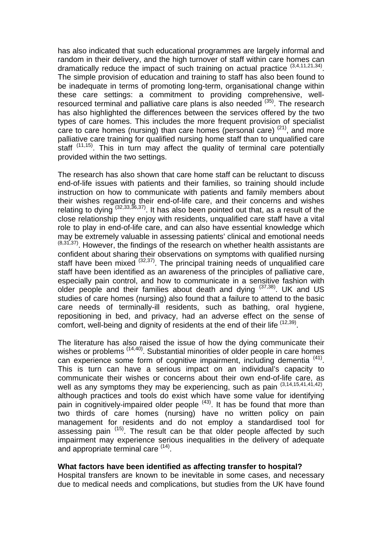has also indicated that such educational programmes are largely informal and random in their delivery, and the high turnover of staff within care homes can dramatically reduce the impact of such training on actual practice (3,4,11,21,34). The simple provision of education and training to staff has also been found to be inadequate in terms of promoting long-term, organisational change within these care settings: a commitment to providing comprehensive, wellresourced terminal and palliative care plans is also needed  $(35)$ . The research has also highlighted the differences between the services offered by the two types of care homes. This includes the more frequent provision of specialist care to care homes (nursing) than care homes (personal care)  $(21)$ , and more palliative care training for qualified nursing home staff than to unqualified care staff  $(11,15)$ . This in turn may affect the quality of terminal care potentially provided within the two settings.

The research has also shown that care home staff can be reluctant to discuss end-of-life issues with patients and their families, so training should include instruction on how to communicate with patients and family members about their wishes regarding their end-of-life care, and their concerns and wishes relating to dying  $(32,33,36,37)$ . It has also been pointed out that, as a result of the close relationship they enjoy with residents, unqualified care staff have a vital role to play in end-of-life care, and can also have essential knowledge which may be extremely valuable in assessing patients' clinical and emotional needs  $(8,31,37)$ . However, the findings of the research on whether health assistants are confident about sharing their observations on symptoms with qualified nursing staff have been mixed  $(32,37)$ . The principal training needs of unqualified care staff have been identified as an awareness of the principles of palliative care, especially pain control, and how to communicate in a sensitive fashion with older people and their families about death and dying  $(37,38)$ . UK and US studies of care homes (nursing) also found that a failure to attend to the basic care needs of terminally-ill residents, such as bathing, oral hygiene, repositioning in bed, and privacy, had an adverse effect on the sense of comfort, well-being and dignity of residents at the end of their life <sup>(12,39)</sup>.

The literature has also raised the issue of how the dying communicate their wishes or problems  $(14,40)$ . Substantial minorities of older people in care homes can experience some form of cognitive impairment, including dementia <sup>(41)</sup>. This is turn can have a serious impact on an individual's capacity to communicate their wishes or concerns about their own end-of-life care, as well as any symptoms they may be experiencing, such as pain  $(3,14,15,41,41,42)$ , although practices and tools do exist which have some value for identifying pain in cognitively-impaired older people  $(43)$ . It has be found that more than two thirds of care homes (nursing) have no written policy on pain management for residents and do not employ a standardised tool for assessing pain  $(15)$ . The result can be that older people affected by such impairment may experience serious inequalities in the delivery of adequate and appropriate terminal care (14).

## **What factors have been identified as affecting transfer to hospital?**

Hospital transfers are known to be inevitable in some cases, and necessary due to medical needs and complications, but studies from the UK have found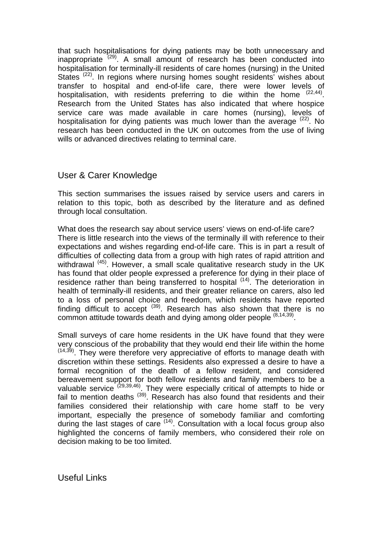that such hospitalisations for dying patients may be both unnecessary and inappropriate  $(29)$ . A small amount of research has been conducted into hospitalisation for terminally-ill residents of care homes (nursing) in the United States<sup> (22)</sup>. In regions where nursing homes sought residents' wishes about transfer to hospital and end-of-life care, there were lower levels of hospitalisation, with residents preferring to die within the home  $(22,44)$ . Research from the United States has also indicated that where hospice service care was made available in care homes (nursing), levels of hospitalisation for dying patients was much lower than the average  $(22)$ . No research has been conducted in the UK on outcomes from the use of living wills or advanced directives relating to terminal care.

## User & Carer Knowledge

This section summarises the issues raised by service users and carers in relation to this topic, both as described by the literature and as defined through local consultation.

What does the research say about service users' views on end-of-life care? There is little research into the views of the terminally ill with reference to their expectations and wishes regarding end-of-life care. This is in part a result of difficulties of collecting data from a group with high rates of rapid attrition and withdrawal <sup>(45)</sup>. However, a small scale qualitative research study in the UK has found that older people expressed a preference for dying in their place of residence rather than being transferred to hospital <sup>(14)</sup>. The deterioration in health of terminally-ill residents, and their greater reliance on carers, also led to a loss of personal choice and freedom, which residents have reported finding difficult to accept<sup>(39)</sup>. Research has also shown that there is no common attitude towards death and dying among older people (8,14,39).

Small surveys of care home residents in the UK have found that they were very conscious of the probability that they would end their life within the home  $(14,39)$ . They were therefore very appreciative of efforts to manage death with discretion within these settings. Residents also expressed a desire to have a formal recognition of the death of a fellow resident, and considered bereavement support for both fellow residents and family members to be a valuable service  $(29,39,46)$ . They were especially critical of attempts to hide or fail to mention deaths  $(39)$ . Research has also found that residents and their families considered their relationship with care home staff to be very important, especially the presence of somebody familiar and comforting during the last stages of care <sup>(14)</sup>. Consultation with a local focus group also highlighted the concerns of family members, who considered their role on decision making to be too limited.

Useful Links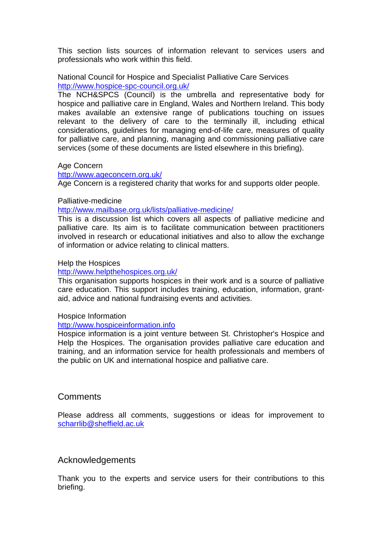This section lists sources of information relevant to services users and professionals who work within this field.

National Council for Hospice and Specialist Palliative Care Services <http://www.hospice-spc-council.org.uk/>

The NCH&SPCS (Council) is the umbrella and representative body for hospice and palliative care in England, Wales and Northern Ireland. This body makes available an extensive range of publications touching on issues relevant to the delivery of care to the terminally ill, including ethical considerations, guidelines for managing end-of-life care, measures of quality for palliative care, and planning, managing and commissioning palliative care services (some of these documents are listed elsewhere in this briefing).

#### Age Concern

<http://www.ageconcern.org.uk/>

Age Concern is a registered charity that works for and supports older people.

#### Palliative-medicine

<http://www.mailbase.org.uk/lists/palliative-medicine/>

This is a discussion list which covers all aspects of palliative medicine and palliative care. Its aim is to facilitate communication between practitioners involved in research or educational initiatives and also to allow the exchange of information or advice relating to clinical matters.

#### Help the Hospices

#### <http://www.helpthehospices.org.uk/>

This organisation supports hospices in their work and is a source of palliative care education. This support includes training, education, information, grantaid, advice and national fundraising events and activities.

#### Hospice Information

#### [http://www.hospiceinformation.info](http://www.hospiceinformation.info/)

Hospice information is a joint venture between St. Christopher's Hospice and Help the Hospices. The organisation provides palliative care education and training, and an information service for health professionals and members of the public on UK and international hospice and palliative care.

## **Comments**

Please address all comments, suggestions or ideas for improvement to [scharrlib@sheffield.ac.uk](mailto:Scharrlib@sheffield.ac.uk)

## Acknowledgements

Thank you to the experts and service users for their contributions to this briefing.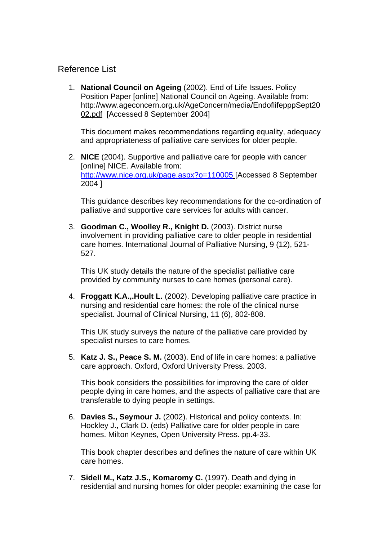## Reference List

 1. **National Council on Ageing** (2002). End of Life Issues. Policy Position Paper [online] National Council on Ageing. Available from: http://www.ageconcern.org.uk/AgeConcern/media/EndoflifepppSept20 02.pdf [Accessed 8 September 2004]

 This document makes recommendations regarding equality, adequacy and appropriateness of palliative care services for older people.

 2. **NICE** (2004). Supportive and palliative care for people with cancer [online] NICE. Available from: <http://www.nice.org.uk/page.aspx?o=110005> [Accessed 8 September 2004 ]

 This guidance describes key recommendations for the co-ordination of palliative and supportive care services for adults with cancer.

 3. **Goodman C., Woolley R., Knight D.** (2003). District nurse involvement in providing palliative care to older people in residential care homes. International Journal of Palliative Nursing, 9 (12), 521- 527.

 This UK study details the nature of the specialist palliative care provided by community nurses to care homes (personal care).

 4. **Froggatt K.A.,.Hoult L.** (2002). Developing palliative care practice in nursing and residential care homes: the role of the clinical nurse specialist. Journal of Clinical Nursing, 11 (6), 802-808.

 This UK study surveys the nature of the palliative care provided by specialist nurses to care homes.

 5. **Katz J. S., Peace S. M.** (2003). End of life in care homes: a palliative care approach. Oxford, Oxford University Press. 2003.

 This book considers the possibilities for improving the care of older people dying in care homes, and the aspects of palliative care that are transferable to dying people in settings.

 6. **Davies S., Seymour J.** (2002). Historical and policy contexts. In: Hockley J., Clark D. (eds) Palliative care for older people in care homes. Milton Keynes, Open University Press. pp.4-33.

 This book chapter describes and defines the nature of care within UK care homes.

 7. **Sidell M., Katz J.S., Komaromy C.** (1997). Death and dying in residential and nursing homes for older people: examining the case for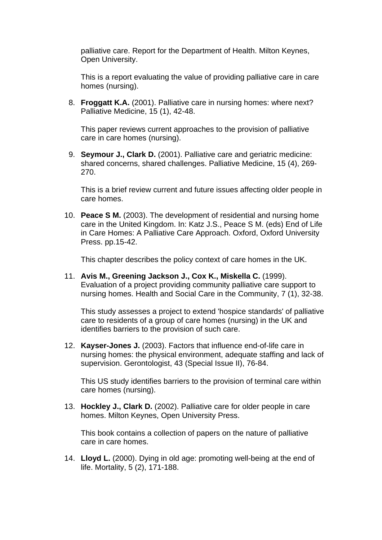palliative care. Report for the Department of Health. Milton Keynes, Open University.

 This is a report evaluating the value of providing palliative care in care homes (nursing).

 8. **Froggatt K.A.** (2001). Palliative care in nursing homes: where next? Palliative Medicine, 15 (1), 42-48.

 This paper reviews current approaches to the provision of palliative care in care homes (nursing).

 9. **Seymour J., Clark D.** (2001). Palliative care and geriatric medicine: shared concerns, shared challenges. Palliative Medicine, 15 (4), 269- 270.

 This is a brief review current and future issues affecting older people in care homes.

 10. **Peace S M.** (2003). The development of residential and nursing home care in the United Kingdom. In: Katz J.S., Peace S M. (eds) End of Life in Care Homes: A Palliative Care Approach. Oxford, Oxford University Press. pp.15-42.

This chapter describes the policy context of care homes in the UK.

 11. **Avis M., Greening Jackson J., Cox K., Miskella C.** (1999). Evaluation of a project providing community palliative care support to nursing homes. Health and Social Care in the Community, 7 (1), 32-38.

 This study assesses a project to extend 'hospice standards' of palliative care to residents of a group of care homes (nursing) in the UK and identifies barriers to the provision of such care.

 12. **Kayser-Jones J.** (2003). Factors that influence end-of-life care in nursing homes: the physical environment, adequate staffing and lack of supervision. Gerontologist, 43 (Special Issue II), 76-84.

 This US study identifies barriers to the provision of terminal care within care homes (nursing).

 13. **Hockley J., Clark D.** (2002). Palliative care for older people in care homes. Milton Keynes, Open University Press.

 This book contains a collection of papers on the nature of palliative care in care homes.

 14. **Lloyd L.** (2000). Dying in old age: promoting well-being at the end of life. Mortality, 5 (2), 171-188.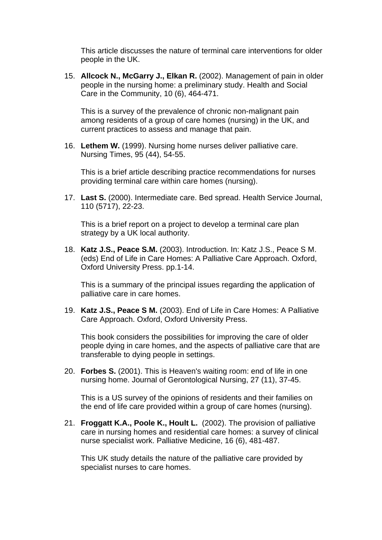This article discusses the nature of terminal care interventions for older people in the UK.

 15. **Allcock N., McGarry J., Elkan R.** (2002). Management of pain in older people in the nursing home: a preliminary study. Health and Social Care in the Community, 10 (6), 464-471.

 This is a survey of the prevalence of chronic non-malignant pain among residents of a group of care homes (nursing) in the UK, and current practices to assess and manage that pain.

 16. **Lethem W.** (1999). Nursing home nurses deliver palliative care. Nursing Times, 95 (44), 54-55.

 This is a brief article describing practice recommendations for nurses providing terminal care within care homes (nursing).

 17. **Last S.** (2000). Intermediate care. Bed spread. Health Service Journal, 110 (5717), 22-23.

 This is a brief report on a project to develop a terminal care plan strategy by a UK local authority.

 18. **Katz J.S., Peace S.M.** (2003). Introduction. In: Katz J.S., Peace S M. (eds) End of Life in Care Homes: A Palliative Care Approach. Oxford, Oxford University Press. pp.1-14.

 This is a summary of the principal issues regarding the application of palliative care in care homes.

 19. **Katz J.S., Peace S M.** (2003). End of Life in Care Homes: A Palliative Care Approach. Oxford, Oxford University Press.

 This book considers the possibilities for improving the care of older people dying in care homes, and the aspects of palliative care that are transferable to dying people in settings.

 20. **Forbes S.** (2001). This is Heaven's waiting room: end of life in one nursing home. Journal of Gerontological Nursing, 27 (11), 37-45.

 This is a US survey of the opinions of residents and their families on the end of life care provided within a group of care homes (nursing).

 21. **Froggatt K.A., Poole K., Hoult L.** (2002). The provision of palliative care in nursing homes and residential care homes: a survey of clinical nurse specialist work. Palliative Medicine, 16 (6), 481-487.

 This UK study details the nature of the palliative care provided by specialist nurses to care homes.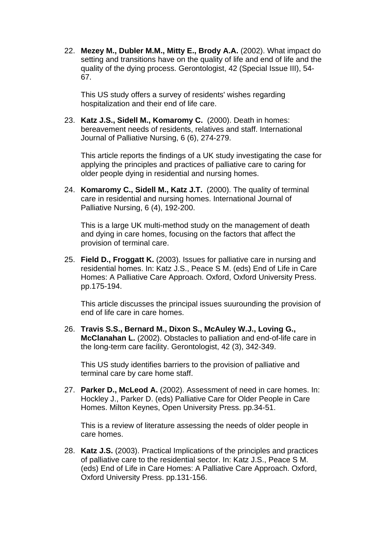22. **Mezey M., Dubler M.M., Mitty E., Brody A.A.** (2002). What impact do setting and transitions have on the quality of life and end of life and the quality of the dying process. Gerontologist, 42 (Special Issue III), 54- 67.

 This US study offers a survey of residents' wishes regarding hospitalization and their end of life care.

 23. **Katz J.S., Sidell M., Komaromy C.** (2000). Death in homes: bereavement needs of residents, relatives and staff. International Journal of Palliative Nursing, 6 (6), 274-279.

 This article reports the findings of a UK study investigating the case for applying the principles and practices of palliative care to caring for older people dying in residential and nursing homes.

 24. **Komaromy C., Sidell M., Katz J.T.** (2000). The quality of terminal care in residential and nursing homes. International Journal of Palliative Nursing, 6 (4), 192-200.

 This is a large UK multi-method study on the management of death and dying in care homes, focusing on the factors that affect the provision of terminal care.

 25. **Field D., Froggatt K.** (2003). Issues for palliative care in nursing and residential homes. In: Katz J.S., Peace S M. (eds) End of Life in Care Homes: A Palliative Care Approach. Oxford, Oxford University Press. pp.175-194.

 This article discusses the principal issues suurounding the provision of end of life care in care homes.

 26. **Travis S.S., Bernard M., Dixon S., McAuley W.J., Loving G., McClanahan L.** (2002). Obstacles to palliation and end-of-life care in the long-term care facility. Gerontologist, 42 (3), 342-349.

 This US study identifies barriers to the provision of palliative and terminal care by care home staff.

 27. **Parker D., McLeod A.** (2002). Assessment of need in care homes. In: Hockley J., Parker D. (eds) Palliative Care for Older People in Care Homes. Milton Keynes, Open University Press. pp.34-51.

 This is a review of literature assessing the needs of older people in care homes.

 28. **Katz J.S.** (2003). Practical Implications of the principles and practices of palliative care to the residential sector. In: Katz J.S., Peace S M. (eds) End of Life in Care Homes: A Palliative Care Approach. Oxford, Oxford University Press. pp.131-156.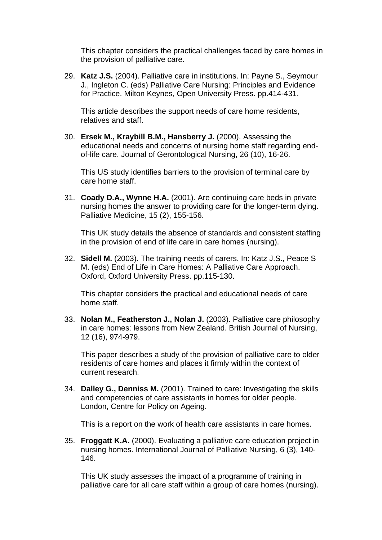This chapter considers the practical challenges faced by care homes in the provision of palliative care.

 29. **Katz J.S.** (2004). Palliative care in institutions. In: Payne S., Seymour J., Ingleton C. (eds) Palliative Care Nursing: Principles and Evidence for Practice. Milton Keynes, Open University Press. pp.414-431.

 This article describes the support needs of care home residents, relatives and staff.

 30. **Ersek M., Kraybill B.M., Hansberry J.** (2000). Assessing the educational needs and concerns of nursing home staff regarding endof-life care. Journal of Gerontological Nursing, 26 (10), 16-26.

 This US study identifies barriers to the provision of terminal care by care home staff.

 31. **Coady D.A., Wynne H.A.** (2001). Are continuing care beds in private nursing homes the answer to providing care for the longer-term dying. Palliative Medicine, 15 (2), 155-156.

 This UK study details the absence of standards and consistent staffing in the provision of end of life care in care homes (nursing).

 32. **Sidell M.** (2003). The training needs of carers. In: Katz J.S., Peace S M. (eds) End of Life in Care Homes: A Palliative Care Approach. Oxford, Oxford University Press. pp.115-130.

 This chapter considers the practical and educational needs of care home staff.

 33. **Nolan M., Featherston J., Nolan J.** (2003). Palliative care philosophy in care homes: lessons from New Zealand. British Journal of Nursing, 12 (16), 974-979.

 This paper describes a study of the provision of palliative care to older residents of care homes and places it firmly within the context of current research.

 34. **Dalley G., Denniss M.** (2001). Trained to care: Investigating the skills and competencies of care assistants in homes for older people. London, Centre for Policy on Ageing.

This is a report on the work of health care assistants in care homes.

 35. **Froggatt K.A.** (2000). Evaluating a palliative care education project in nursing homes. International Journal of Palliative Nursing, 6 (3), 140- 146.

 This UK study assesses the impact of a programme of training in palliative care for all care staff within a group of care homes (nursing).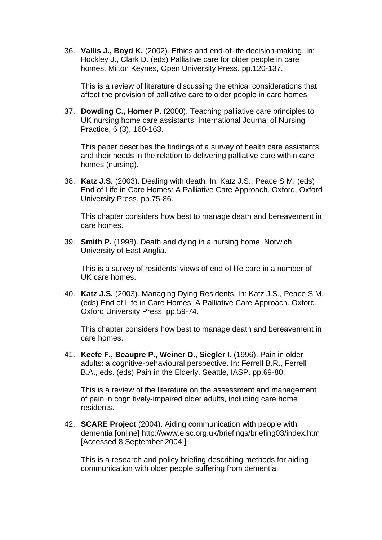36. **Vallis J., Boyd K.** (2002). Ethics and end-of-life decision-making. In: Hockley J., Clark D. (eds) Palliative care for older people in care homes. Milton Keynes, Open University Press. pp.120-137.

 This is a review of literature discussing the ethical considerations that affect the provision of palliative care to older people in care homes.

 37. **Dowding C., Homer P.** (2000). Teaching palliative care principles to UK nursing home care assistants. International Journal of Nursing Practice, 6 (3), 160-163.

 This paper describes the findings of a survey of health care assistants and their needs in the relation to delivering palliative care within care homes (nursing).

 38. **Katz J.S.** (2003). Dealing with death. In: Katz J.S., Peace S M. (eds) End of Life in Care Homes: A Palliative Care Approach. Oxford, Oxford University Press. pp.75-86.

 This chapter considers how best to manage death and bereavement in care homes.

 39. **Smith P.** (1998). Death and dying in a nursing home. Norwich, University of East Anglia.

 This is a survey of residents' views of end of life care in a number of UK care homes.

 40. **Katz J.S.** (2003). Managing Dying Residents. In: Katz J.S., Peace S M. (eds) End of Life in Care Homes: A Palliative Care Approach. Oxford, Oxford University Press. pp.59-74.

 This chapter considers how best to manage death and bereavement in care homes.

 41. **Keefe F., Beaupre P., Weiner D., Siegler I.** (1996). Pain in older adults: a cognitive-behavioural perspective. In: Ferrell B.R., Ferrell B.A., eds. (eds) Pain in the Elderly. Seattle, IASP. pp.69-80.

 This is a review of the literature on the assessment and management of pain in cognitively-impaired older adults, including care home residents.

 42. **SCARE Project** (2004). Aiding communication with people with dementia [online] http://www.elsc.org.uk/briefings/briefing03/index.htm [Accessed 8 September 2004 ]

 This is a research and policy briefing describing methods for aiding communication with older people suffering from dementia.